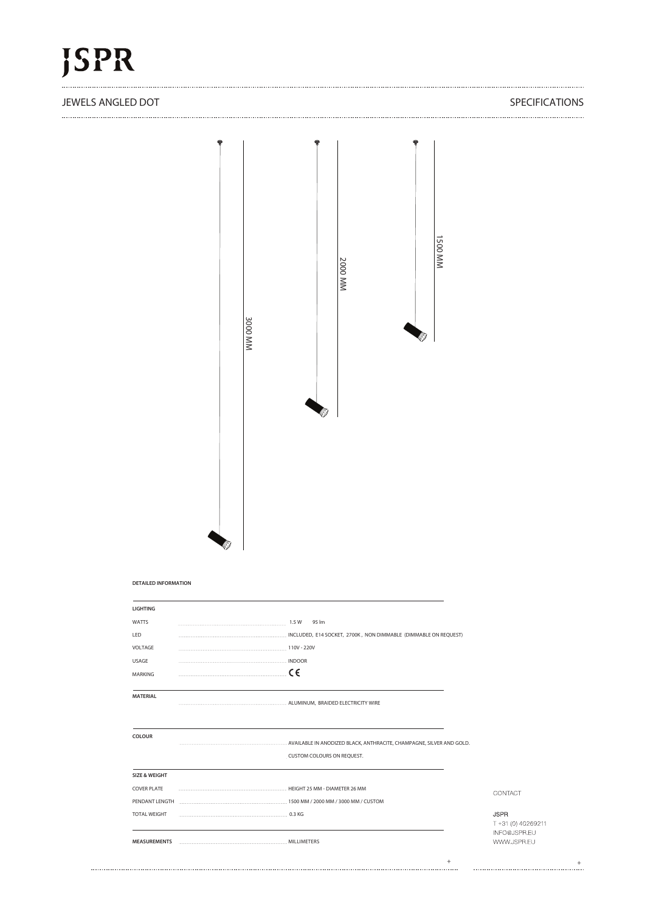### JEWELS ANGLED DOT SPECIFICATIONS



**DETAILED INFORMATION**

| <b>LIGHTING</b>          |                                                                                                                                                                                                                                                                                                        |        |                                                   |
|--------------------------|--------------------------------------------------------------------------------------------------------------------------------------------------------------------------------------------------------------------------------------------------------------------------------------------------------|--------|---------------------------------------------------|
| <b>WATTS</b>             | 95 lm                                                                                                                                                                                                                                                                                                  |        |                                                   |
| LED                      | $\overline{a}$ . The continuum continuum continuum continuum continuum continuum continuum continuum continuum continuum continuum continuum continuum continuum continuum continuum continuum continuum continuum continuum contin<br>INCLUDED, E14 SOCKET, 2700K, NON DIMMABLE (DIMMABLE ON REQUEST) |        |                                                   |
| VOLTAGE                  |                                                                                                                                                                                                                                                                                                        |        |                                                   |
| USAGE                    |                                                                                                                                                                                                                                                                                                        |        |                                                   |
| <b>MARKING</b>           | . $\epsilon$                                                                                                                                                                                                                                                                                           |        |                                                   |
| <b>MATERIAL</b>          |                                                                                                                                                                                                                                                                                                        |        |                                                   |
| <b>COLOUR</b>            |                                                                                                                                                                                                                                                                                                        |        |                                                   |
|                          | CUSTOM COLOURS ON REQUEST.                                                                                                                                                                                                                                                                             |        |                                                   |
| <b>SIZE &amp; WEIGHT</b> |                                                                                                                                                                                                                                                                                                        |        |                                                   |
| <b>COVER PLATE</b>       |                                                                                                                                                                                                                                                                                                        |        | CONTACT                                           |
|                          | PENDANT LENGTH <b>EXAMPLE 2000 MM / 2000 MM / 3000 MM / CUSTOM</b>                                                                                                                                                                                                                                     |        |                                                   |
| <b>TOTAL WEIGHT</b>      |                                                                                                                                                                                                                                                                                                        |        | <b>JSPR</b><br>T +31 (0) 40269211<br>INFO@JSPR.EU |
|                          |                                                                                                                                                                                                                                                                                                        |        | WWW.JSPR.EU                                       |
|                          |                                                                                                                                                                                                                                                                                                        | $^{+}$ |                                                   |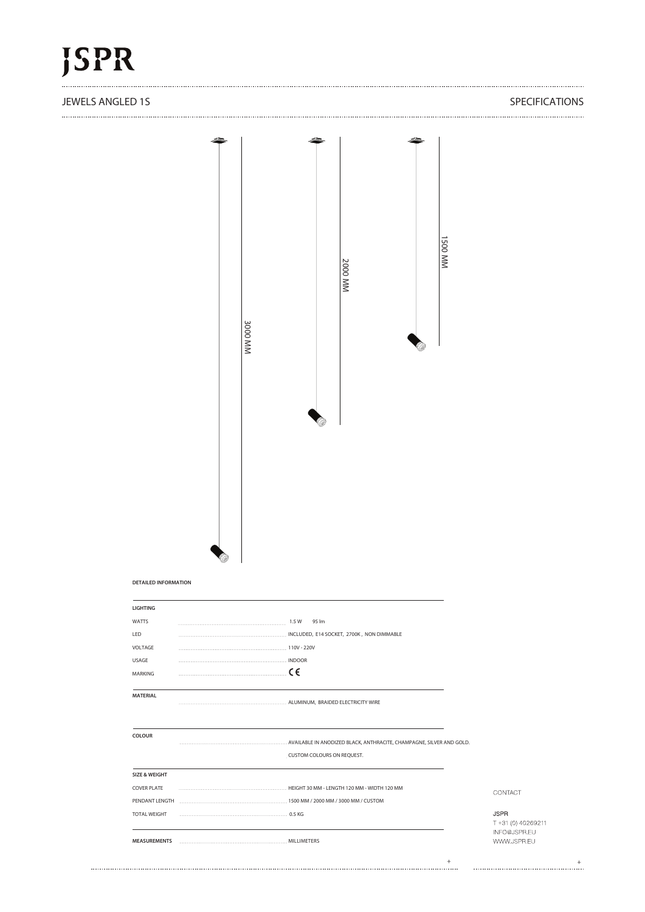#### JEWELS ANGLED 1S SPECIFICATIONS

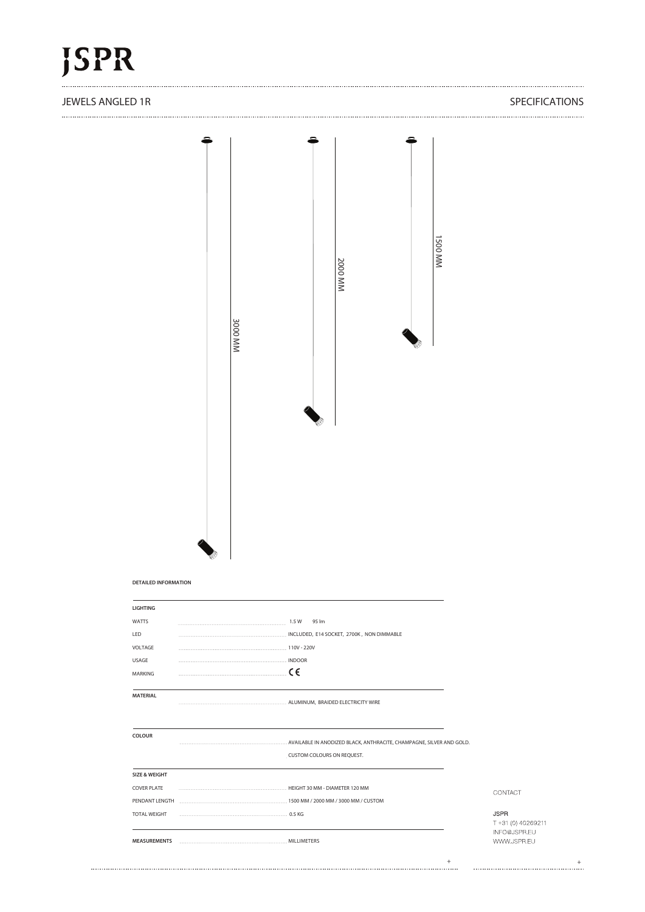#### JEWELS ANGLED 1R SPECIFICATIONS

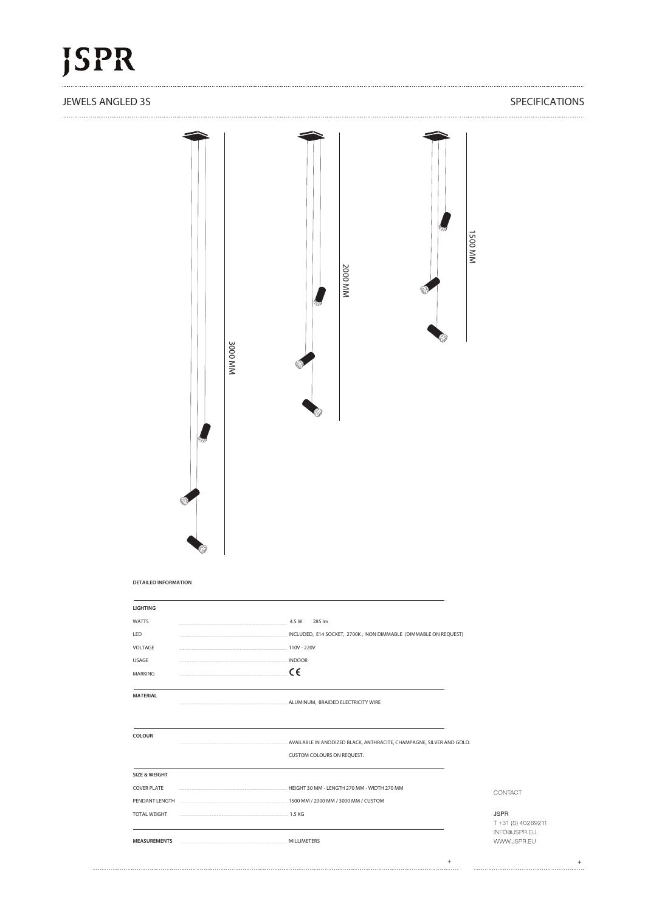## **ISPR**

#### JEWELS ANGLED 3S SPECIFICATIONS

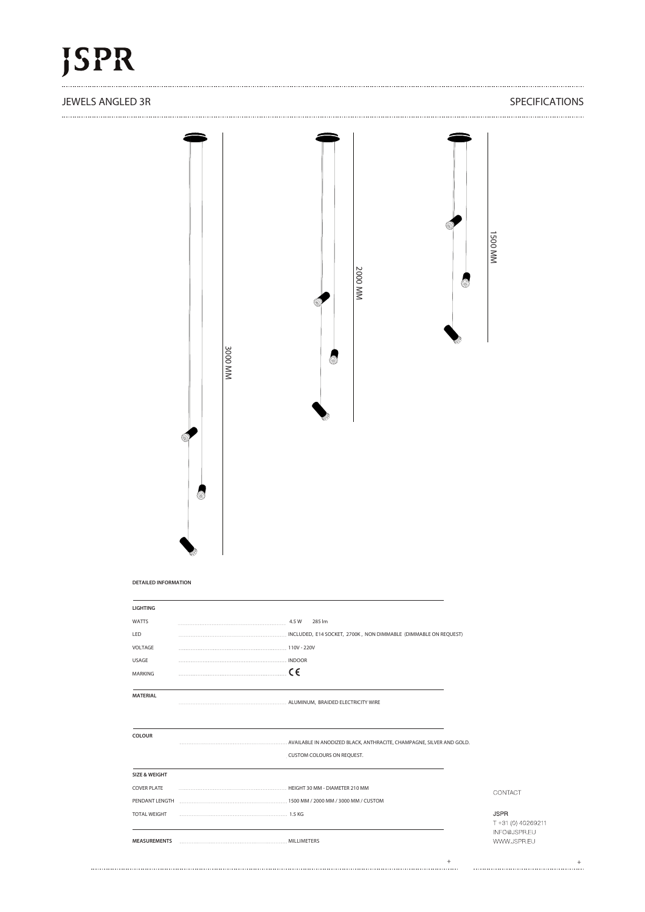## **ISPR**

#### JEWELS ANGLED 3R SPECIFICATIONS

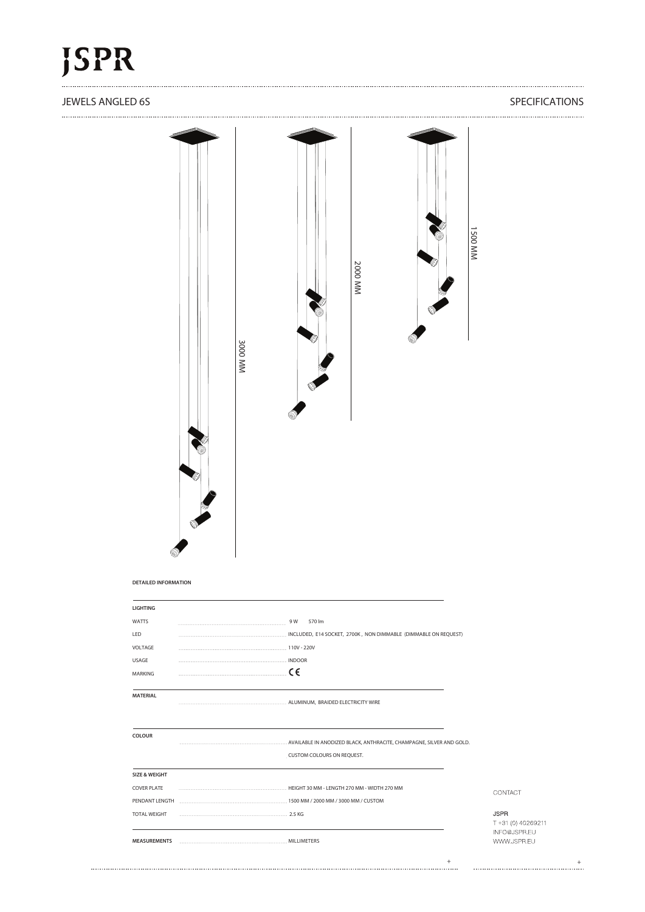#### JEWELS ANGLED 6S SPECIFICATIONS

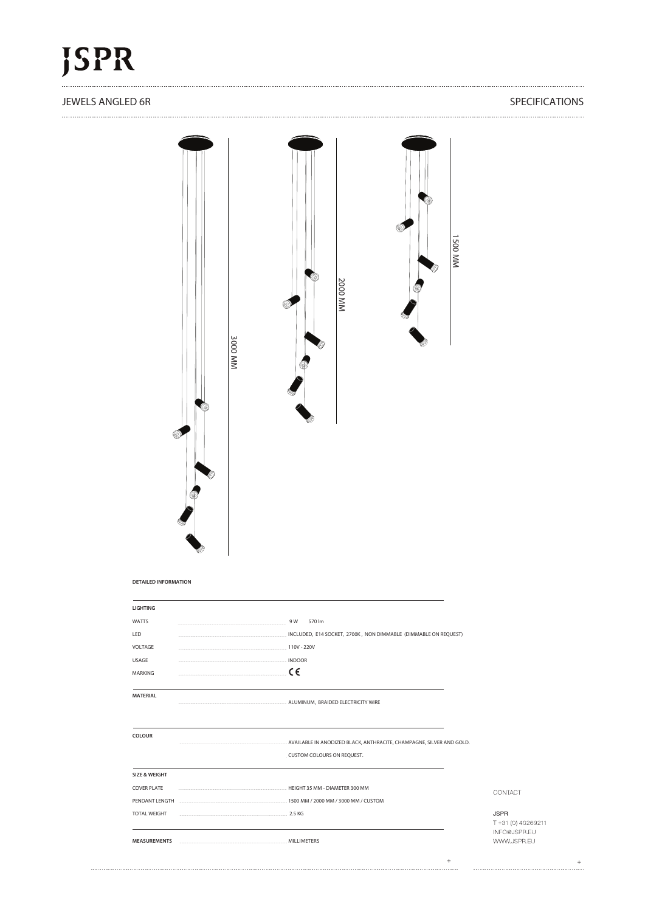### JEWELS ANGLED 6R SPECIFICATIONS

| <b>DETAILED INFORMATION</b><br><b>LIGHTING</b><br>WATTS<br>9 W 570 lm<br>LED<br>INCLUDED, E14 SOCKET, 2700K, NON DIMMABLE (DIMMABLE ON REQUEST)<br>VOLTAGE<br>110V - 220V<br>USAGE<br>INDOOR<br>$C \in$<br>MARKING<br>MATERIAL<br>COLOUR<br>AVAILABLE IN ANODIZED BLACK, ANTHRACITE, CHAMPAGNE, SILVER AND GOLD.<br>. CUSTOM COLOURS ON REQUEST.<br><b>SIZE &amp; WEIGHT</b><br><b>COVER PLATE</b><br>CONTACT<br>PENDANT LENGTH <b>Example 2010</b> NM / 2000 MM / 3000 MM / 3000 MM / CUSTOM<br><b>JSPR</b><br><b>TOTAL WEIGHT</b> |  |
|-------------------------------------------------------------------------------------------------------------------------------------------------------------------------------------------------------------------------------------------------------------------------------------------------------------------------------------------------------------------------------------------------------------------------------------------------------------------------------------------------------------------------------------|--|
|                                                                                                                                                                                                                                                                                                                                                                                                                                                                                                                                     |  |
|                                                                                                                                                                                                                                                                                                                                                                                                                                                                                                                                     |  |
|                                                                                                                                                                                                                                                                                                                                                                                                                                                                                                                                     |  |
|                                                                                                                                                                                                                                                                                                                                                                                                                                                                                                                                     |  |
|                                                                                                                                                                                                                                                                                                                                                                                                                                                                                                                                     |  |
|                                                                                                                                                                                                                                                                                                                                                                                                                                                                                                                                     |  |
|                                                                                                                                                                                                                                                                                                                                                                                                                                                                                                                                     |  |
|                                                                                                                                                                                                                                                                                                                                                                                                                                                                                                                                     |  |
|                                                                                                                                                                                                                                                                                                                                                                                                                                                                                                                                     |  |
|                                                                                                                                                                                                                                                                                                                                                                                                                                                                                                                                     |  |
|                                                                                                                                                                                                                                                                                                                                                                                                                                                                                                                                     |  |
|                                                                                                                                                                                                                                                                                                                                                                                                                                                                                                                                     |  |
|                                                                                                                                                                                                                                                                                                                                                                                                                                                                                                                                     |  |
|                                                                                                                                                                                                                                                                                                                                                                                                                                                                                                                                     |  |
| INFO@JSPR.EU                                                                                                                                                                                                                                                                                                                                                                                                                                                                                                                        |  |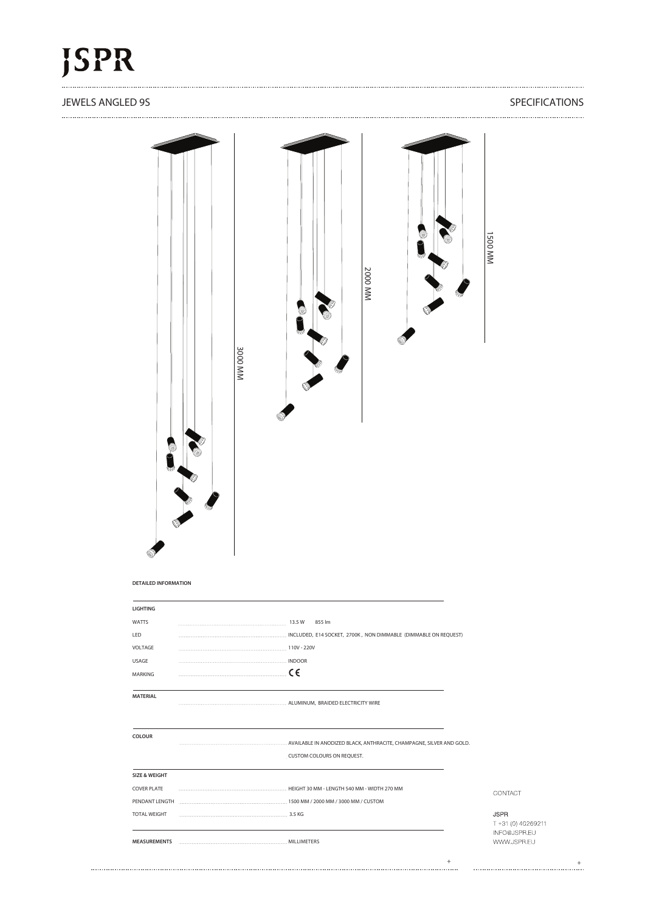### JEWELS ANGLED 9S SPECIFICATIONS



#### **DETAILED INFORMATION**

| <b>LIGHTING</b>                                                                                                                                                                                                                                       |                                                                         |                                                   |
|-------------------------------------------------------------------------------------------------------------------------------------------------------------------------------------------------------------------------------------------------------|-------------------------------------------------------------------------|---------------------------------------------------|
| <b>WATTS</b>                                                                                                                                                                                                                                          | 855 lm                                                                  |                                                   |
| LED                                                                                                                                                                                                                                                   | INCLUDED, E14 SOCKET, 2700K, NON DIMMABLE (DIMMABLE ON REQUEST)         |                                                   |
| VOLTAGE                                                                                                                                                                                                                                               |                                                                         |                                                   |
| USAGE                                                                                                                                                                                                                                                 | INDOOR                                                                  |                                                   |
| $\overline{a}$ , and the continuum continuum continuum continuum continuum continuum continuum continuum continuum continuum continuum continuum continuum continuum continuum continuum continuum continuum continuum continuum co<br><b>MARKING</b> | $\epsilon$                                                              |                                                   |
| <b>MATERIAL</b>                                                                                                                                                                                                                                       |                                                                         |                                                   |
| <b>COLOUR</b>                                                                                                                                                                                                                                         |                                                                         |                                                   |
|                                                                                                                                                                                                                                                       | CUSTOM COLOURS ON REQUEST.                                              |                                                   |
| <b>SIZE &amp; WEIGHT</b>                                                                                                                                                                                                                              |                                                                         |                                                   |
| <b>COVER PLATE</b>                                                                                                                                                                                                                                    |                                                                         | CONTACT                                           |
|                                                                                                                                                                                                                                                       | PENDANT LENGTH <b>MACHINE AREA</b> 1500 MM / 2000 MM / 3000 MM / CUSTOM |                                                   |
| <b>TOTAL WEIGHT</b>                                                                                                                                                                                                                                   |                                                                         | <b>JSPR</b><br>T +31 (0) 40269211<br>INFO@JSPR.EU |
|                                                                                                                                                                                                                                                       |                                                                         | WWW.JSPR.EU                                       |
|                                                                                                                                                                                                                                                       |                                                                         |                                                   |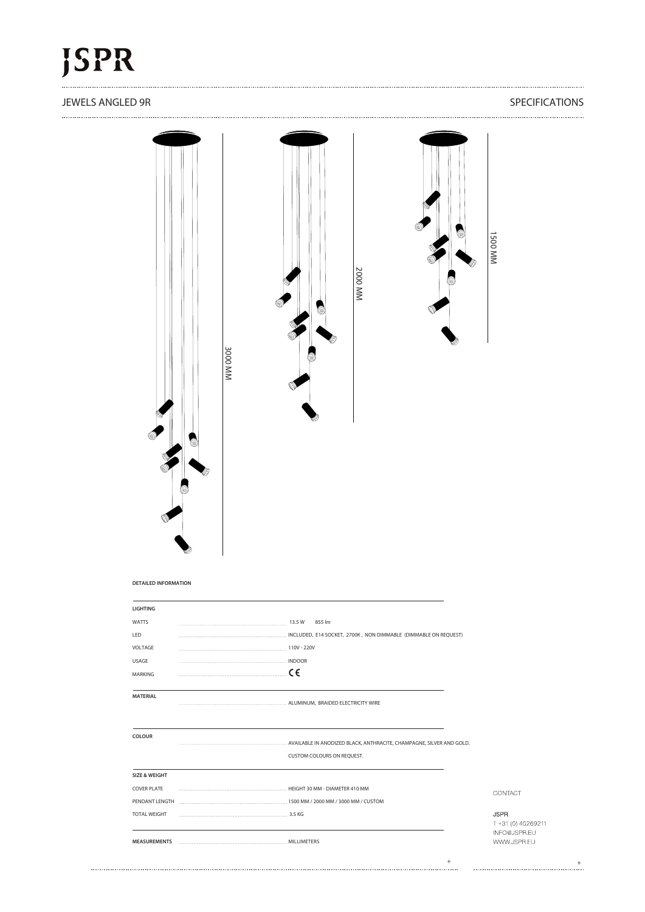### JEWELS ANGLED 9R SPECIFICATIONS

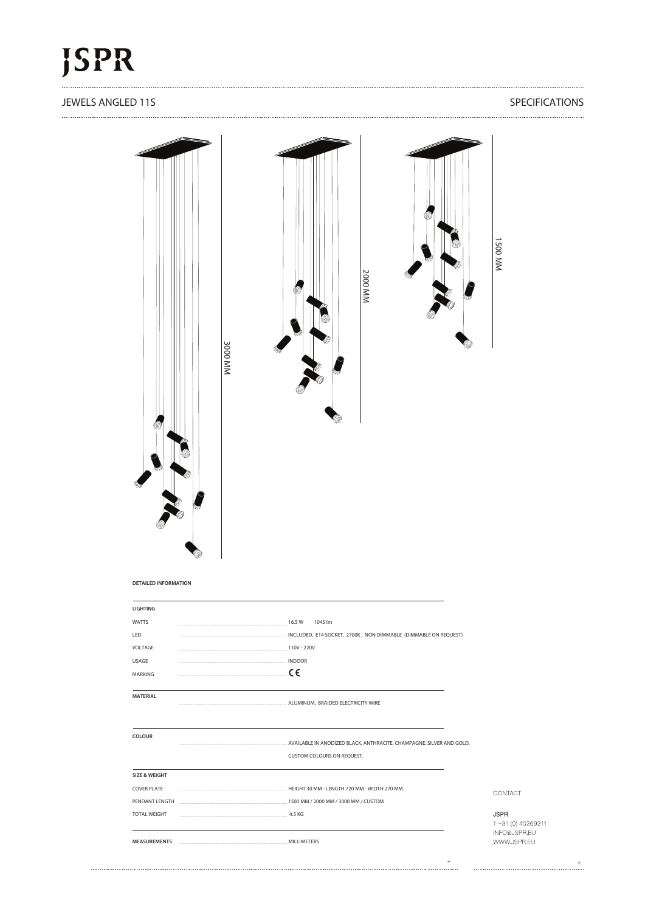### **JEWELS ANGLED 11S** SPECIFICATIONS



......................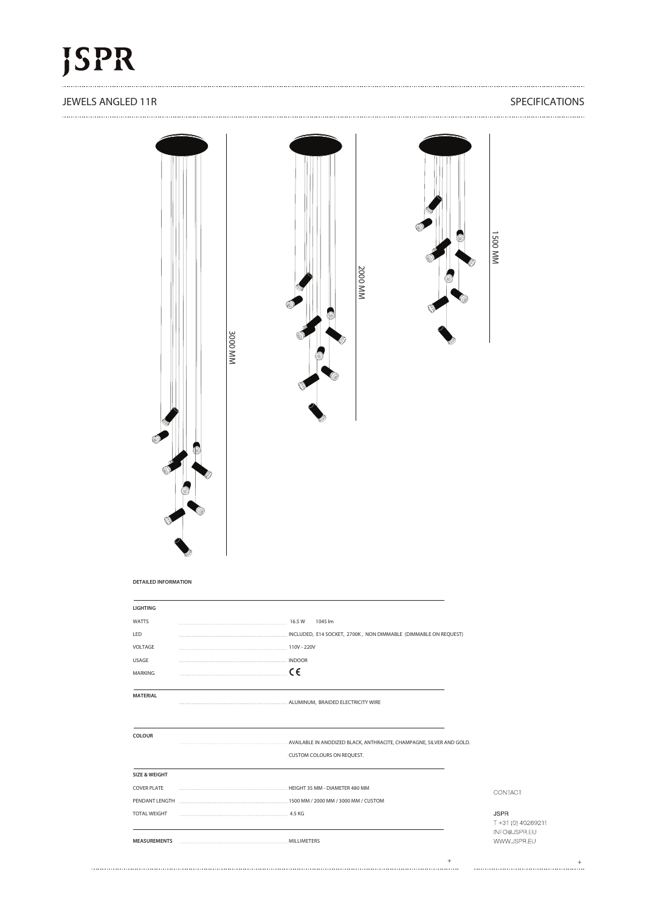#### JEWELS ANGLED 11R SPECIFICATIONS

### 

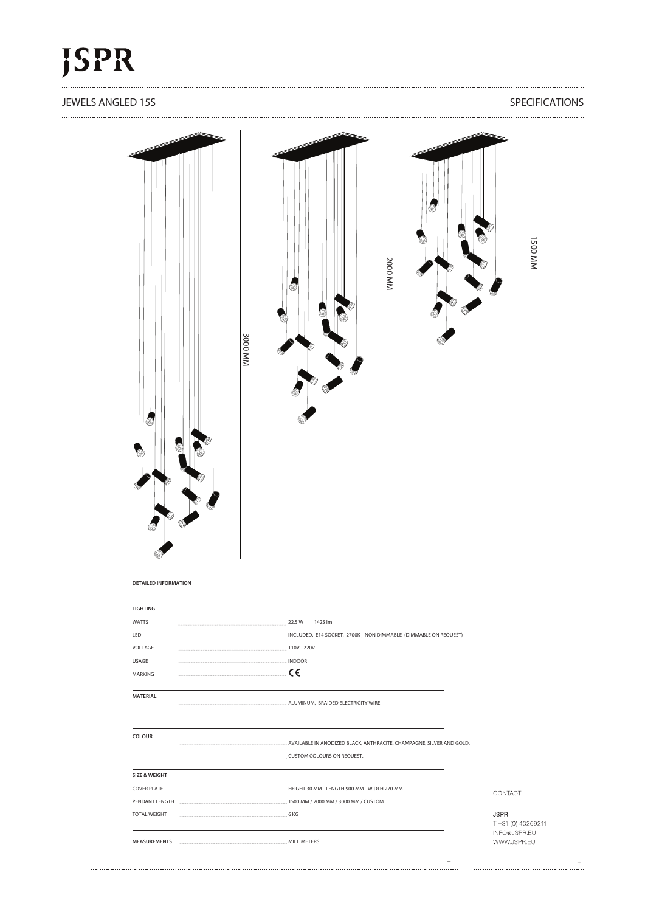### **JEWELS ANGLED 15S** SPECIFICATIONS



COVER PLATE **HEIGHT 30 MM - LENGTH 900 MM - WIDTH 270 MM** CONTACT PENDANT LENGTH 1500 MM / 2000 MM / 3000 MM / CUSTOM **JSPR** T +31 (0) 40269211 INFO@JSPR.EU **MEASUREMENTS** MILLIMETERS WWW.JSPR.EU

<sup>+</sup> <sup>+</sup>

TOTAL WEIGHT 6 KG

......................